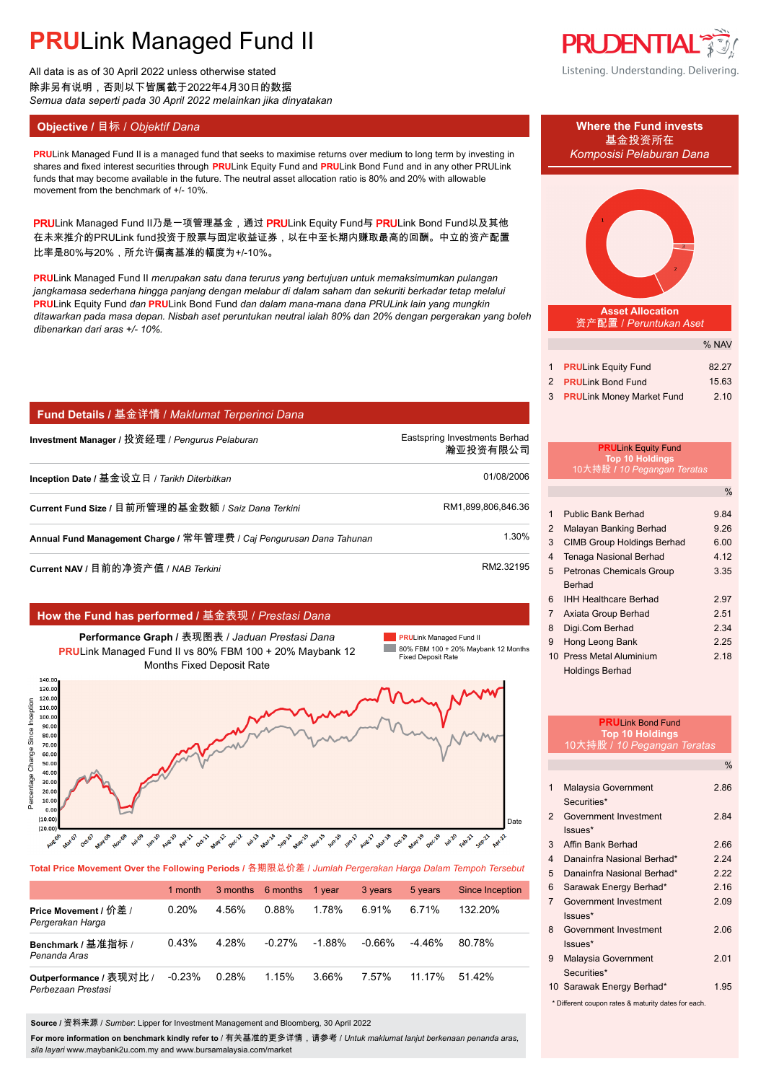All data is as of 30 April 2022 unless otherwise stated 除非另有说明,否则以下皆属截于2022年4月30日的数据 *Semua data seperti pada 30 April 2022 melainkan jika dinyatakan*

## **Objective /** 目标 / *Objektif Dana* **Where the Fund invests**

**PRUDENTIAL** Listening. Understanding. Delivering.

**PRULink Managed Fund II is a managed fund that seeks to maximise returns over medium to long term by investing in Komposisi Pelaburan Dana** shares and fixed interest securities through **PRU**Link Equity Fund and **PRU**Link Bond Fund and in any other PRULink funds that may become available in the future. The neutral asset allocation ratio is 80% and 20% with allowable movement from the benchmark of +/- 10%.

PRULink Managed Fund II乃是一项管理基金,通过 PRULink Equity Fund与 PRULink Bond Fund以及其他 在未来推介的PRULink fund投资于股票与固定收益证券,以在中至长期内赚取最高的回酬。中立的资产配置 比率是80%与20%,所允许偏离基准的幅度为+/-10%。

**PRU**Link Managed Fund II *merupakan satu dana terurus yang bertujuan untuk memaksimumkan pulangan jangkamasa sederhana hingga panjang dengan melabur di dalam saham dan sekuriti berkadar tetap melalui* **PRU**Link Equity Fund *dan* **PRU**Link Bond Fund *dan dalam mana-mana dana PRULink lain yang mungkin ditawarkan pada masa depan. Nisbah aset peruntukan neutral ialah 80% dan 20% dengan pergerakan yang boleh dibenarkan dari aras +/- 10%.*

### **Fund Details /** 基金详情 / *Maklumat Terperinci Dana*

| Investment Manager / 投资经理 / Pengurus Pelaburan                      | Eastspring Investments Berhad<br>瀚亚投资有限公司 |  |
|---------------------------------------------------------------------|-------------------------------------------|--|
| Inception Date / 基金设立日 / Tarikh Diterbitkan                         | 01/08/2006                                |  |
| Current Fund Size / 目前所管理的基金数额 / Saiz Dana Terkini                  | RM1.899.806.846.36                        |  |
| Annual Fund Management Charge / 常年管理费 / Caj Pengurusan Dana Tahunan | 1.30%                                     |  |
|                                                                     |                                           |  |

**Current NAV /** 目前的净资产值 / *NAB Terkini* RM2.32195. AMP ADDITION RM2.32195.

### **How the Fund has performed /** 基金表现 / *Prestasi Dana*

**Performance Graph /** 表现图表 / *Jaduan Prestasi Dana* **PRU**Link Managed Fund II vs 80% FBM 100 + 20% Maybank 12 Months Fixed Deposit Rate

**PRU**Link Managed Fund II 80% FBM 100 + 20% Maybank 12 Months Fixed Deposit Rate



**Total Price Movement Over the Following Periods /** 各期限总价差 / *Jumlah Pergerakan Harga Dalam Tempoh Tersebut*

|                                               | 1 month  |       | 3 months 6 months | 1 vear   | 3 years  | 5 years  | <b>Since Inception</b> |
|-----------------------------------------------|----------|-------|-------------------|----------|----------|----------|------------------------|
| Price Movement / 价差 /<br>Pergerakan Harga     | 0.20%    | 4.56% | 0.88%             | 1.78%    | 6.91%    | 6.71%    | 132.20%                |
| Benchmark / 基准指标 /<br>Penanda Aras            | 0.43%    | 4 28% | $-0.27%$          | $-1.88%$ | $-0.66%$ | $-4.46%$ | 80.78%                 |
| Outperformance / 表现对比 /<br>Perbezaan Prestasi | $-0.23%$ | 0.28% | 1.15%             | 3.66%    | 7.57%    | 11.17%   | 51 42%                 |

**Source /** 资料来源 / *Sumber*: Lipper for Investment Management and Bloomberg, 30 April 2022

**For more information on benchmark kindly refer to** / 有关基准的更多详情,请参考 / *Untuk maklumat lanjut berkenaan penanda aras, sila layari* www.maybank2u.com.my and www.bursamalaysia.com/market

# 基金投资所在



#### **Asset Allocation** 资产配置 / *Peruntukan Aset*

|   |                                  | % NAV |
|---|----------------------------------|-------|
|   |                                  |       |
|   | <b>PRULink Equity Fund</b>       | 82.27 |
|   | 2 PRULink Bond Fund              | 15.63 |
| 3 | <b>PRULink Money Market Fund</b> | 2.10  |

#### **PRU**Link Equity Fund **Top 10 Holdings** 10大持股 **/** *10 Pegangan Teratas*

|                |                                   | $\%$ |
|----------------|-----------------------------------|------|
|                |                                   |      |
| 1              | <b>Public Bank Berhad</b>         | 9.84 |
| $\overline{2}$ | Malayan Banking Berhad            | 9.26 |
| 3              | <b>CIMB Group Holdings Berhad</b> | 6.00 |
| 4              | Tenaga Nasional Berhad            | 4.12 |
| 5              | <b>Petronas Chemicals Group</b>   | 3.35 |
|                | Berhad                            |      |
| 6              | <b>IHH Healthcare Berhad</b>      | 2.97 |
| 7              | Axiata Group Berhad               | 2.51 |
| 8              | Digi.Com Berhad                   | 2.34 |
| 9              | Hong Leong Bank                   | 2.25 |
|                | 10 Press Metal Aluminium          | 2.18 |
|                | <b>Holdings Berhad</b>            |      |

|                         | <b>PRULink Bond Fund</b><br><b>Top 10 Holdings</b>                                                                                                                                                                                                                                            |               |
|-------------------------|-----------------------------------------------------------------------------------------------------------------------------------------------------------------------------------------------------------------------------------------------------------------------------------------------|---------------|
|                         | <u> 10大持股 / 10 Pegangan Teratas</u>                                                                                                                                                                                                                                                           |               |
|                         |                                                                                                                                                                                                                                                                                               | $\frac{0}{0}$ |
| 1                       | Malaysia Government                                                                                                                                                                                                                                                                           | 2.86          |
|                         | Securities*                                                                                                                                                                                                                                                                                   |               |
| $\mathfrak{p}$          | Government Investment                                                                                                                                                                                                                                                                         | 2.84          |
|                         | Issues*                                                                                                                                                                                                                                                                                       |               |
| 3                       | Affin Bank Berhad                                                                                                                                                                                                                                                                             | 2.66          |
| $\overline{\mathbf{4}}$ | Danainfra Nasional Berhad*                                                                                                                                                                                                                                                                    | 2 24          |
| 5                       | Danainfra Nasional Berhad*                                                                                                                                                                                                                                                                    | 2.22          |
| 6                       | Sarawak Energy Berhad*                                                                                                                                                                                                                                                                        | 2.16          |
| $\overline{7}$          | Government Investment                                                                                                                                                                                                                                                                         | 2.09          |
|                         | $lssues*$                                                                                                                                                                                                                                                                                     |               |
| 8                       | Government Investment                                                                                                                                                                                                                                                                         | 2.06          |
|                         | Issues*                                                                                                                                                                                                                                                                                       |               |
| 9                       | Malaysia Government                                                                                                                                                                                                                                                                           | 2.01          |
|                         | Securities*                                                                                                                                                                                                                                                                                   |               |
|                         | 10 Sarawak Energy Berhad*                                                                                                                                                                                                                                                                     | 1.95          |
|                         | $\frac{1}{2}$ and $\frac{1}{2}$ and $\frac{1}{2}$ and $\frac{1}{2}$ and $\frac{1}{2}$ and $\frac{1}{2}$ and $\frac{1}{2}$ and $\frac{1}{2}$ and $\frac{1}{2}$ and $\frac{1}{2}$ and $\frac{1}{2}$ and $\frac{1}{2}$ and $\frac{1}{2}$ and $\frac{1}{2}$ and $\frac{1}{2}$ and $\frac{1}{2}$ a |               |

Different coupon rates & maturity dates for each.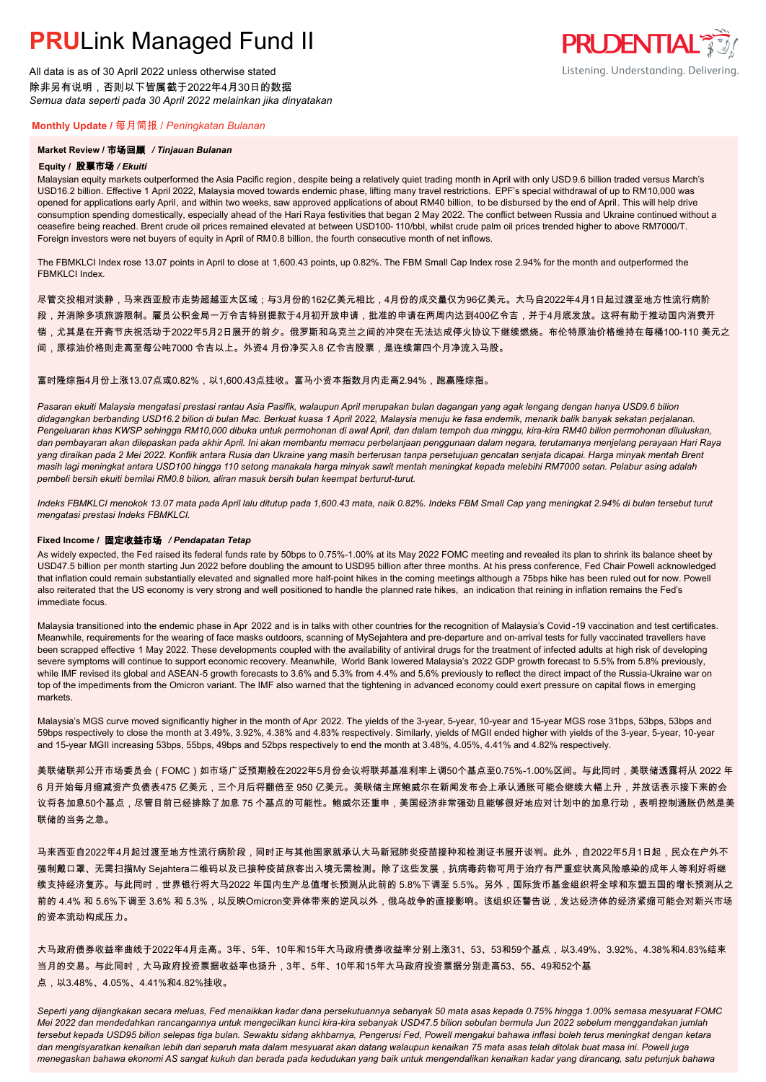All data is as of 30 April 2022 unless otherwise stated 除非另有说明,否则以下皆属截于2022年4月30日的数据 *Semua data seperti pada 30 April 2022 melainkan jika dinyatakan*

### **Monthly Update /** 每月简报 / *Peningkatan Bulanan*

### **Market Review /** 市场回顾 */ Tinjauan Bulanan*

#### **Equity /** 股票市场 */ Ekuiti.*

Malaysian equity markets outperformed the Asia Pacific region , despite being a relatively quiet trading month in April with only USD 9.6 billion traded versus March's USD16.2 billion. Effective 1 April 2022, Malaysia moved towards endemic phase, lifting many travel restrictions. EPF's special withdrawal of up to RM10,000 was opened for applications early April, and within two weeks, saw approved applications of about RM40 billion, to be disbursed by the end of April. This will help drive consumption spending domestically, especially ahead of the Hari Raya festivities that began 2 May 2022. The conflict between Russia and Ukraine continued without a ceasefire being reached. Brent crude oil prices remained elevated at between USD100- 110/bbl, whilst crude palm oil prices trended higher to above RM7000/T. Foreign investors were net buyers of equity in April of RM0.8 billion, the fourth consecutive month of net inflows.

The FBMKLCI Index rose 13.07 points in April to close at 1,600.43 points, up 0.82%. The FBM Small Cap Index rose 2.94% for the month and outperformed the FRMKLCI Index

尽管交投相对淡静,马来西亚股市走势超越亚太区域;与3月份的162亿美元相比,4月份的成交量仅为96亿美元。大马自2022年4月1日起过渡至地方性流行病阶

- 段,并消除多项旅游限制。雇员公积金局一万令吉特别提款于4月初开放申请,批准的申请在两周内达到400亿令吉,并于4月底发放。这将有助于推动国内消费开
- 销,尤其是在开斋节庆祝活动于2022年5月2日展开的前夕。俄罗斯和乌克兰之间的冲突在无法达成停火协议下继续燃烧。布伦特原油价格维持在每桶100-110 美元之
- 间,原棕油价格则走高至每公吨7000 令吉以上。外资4 月份净买入8 亿令吉股票,是连续第四个月净流入马股。

#### 富时隆综指4月份上涨13.07点或0.82%,以1,600.43点挂收。富马小资本指数月内走高2.94%,跑赢隆综指。

*Pasaran ekuiti Malaysia mengatasi prestasi rantau Asia Pasifik, walaupun April merupakan bulan dagangan yang agak lengang dengan hanya USD9.6 bilion didagangkan berbanding USD16.2 bilion di bulan Mac. Berkuat kuasa 1 April 2022, Malaysia menuju ke fasa endemik, menarik balik banyak sekatan perjalanan. Pengeluaran khas KWSP sehingga RM10,000 dibuka untuk permohonan di awal April, dan dalam tempoh dua minggu, kira-kira RM40 bilion permohonan diluluskan, dan pembayaran akan dilepaskan pada akhir April. Ini akan membantu memacu perbelanjaan penggunaan dalam negara, terutamanya menjelang perayaan Hari Raya yang diraikan pada 2 Mei 2022. Konflik antara Rusia dan Ukraine yang masih berterusan tanpa persetujuan gencatan senjata dicapai. Harga minyak mentah Brent masih lagi meningkat antara USD100 hingga 110 setong manakala harga minyak sawit mentah meningkat kepada melebihi RM7000 setan. Pelabur asing adalah pembeli bersih ekuiti bernilai RM0.8 bilion, aliran masuk bersih bulan keempat berturut-turut.*

*Indeks FBMKLCI menokok 13.07 mata pada April lalu ditutup pada 1,600.43 mata, naik 0.82%. Indeks FBM Small Cap yang meningkat 2.94% di bulan tersebut turut mengatasi prestasi Indeks FBMKLCI.*

#### **Fixed Income /** 固定收益市场 */ Pendapatan Tetap*

*.* As widely expected, the Fed raised its federal funds rate by 50bps to 0.75%-1.00% at its May 2022 FOMC meeting and revealed its plan to shrink its balance sheet by USD47.5 billion per month starting Jun 2022 before doubling the amount to USD95 billion after three months. At his press conference, Fed Chair Powell acknowledged that inflation could remain substantially elevated and signalled more half-point hikes in the coming meetings although a 75bps hike has been ruled out for now. Powell also reiterated that the US economy is very strong and well positioned to handle the planned rate hikes, an indication that reining in inflation remains the Fed's immediate focus.

Malaysia transitioned into the endemic phase in Apr 2022 and is in talks with other countries for the recognition of Malaysia's Covid -19 vaccination and test certificates. Meanwhile, requirements for the wearing of face masks outdoors, scanning of MySejahtera and pre-departure and on-arrival tests for fully vaccinated travellers have been scrapped effective 1 May 2022. These developments coupled with the availability of antiviral drugs for the treatment of infected adults at high risk of developing severe symptoms will continue to support economic recovery. Meanwhile, World Bank lowered Malaysia's 2022 GDP growth forecast to 5.5% from 5.8% previously, while IMF revised its global and ASEAN-5 growth forecasts to 3.6% and 5.3% from 4.4% and 5.6% previously to reflect the direct impact of the Russia-Ukraine war on top of the impediments from the Omicron variant. The IMF also warned that the tightening in advanced economy could exert pressure on capital flows in emerging markets.

Malaysia's MGS curve moved significantly higher in the month of Apr 2022. The yields of the 3-year, 5-year, 10-year and 15-year MGS rose 31bps, 53bps, 53bps and 59bps respectively to close the month at 3.49%, 3.92%, 4.38% and 4.83% respectively. Similarly, yields of MGII ended higher with yields of the 3-year, 5-year, 10-year and 15-year MGII increasing 53bps, 55bps, 49bps and 52bps respectively to end the month at 3.48%, 4.05%, 4.41% and 4.82% respectively.

美联储联邦公开市场委员会(FOMC)如市场广泛预期般在2022年5月份会议将联邦基准利率上调50个基点至0.75%-1.00%区间。与此同时,美联储透露将从 2022 年 6 月开始每月缩减资产负债表475 亿美元,三个月后将翻倍至 950 亿美元。美联储主席鲍威尔在新闻发布会上承认通胀可能会继续大幅上升,并放话表示接下来的会 议将各加息50个基点,尽管目前已经排除了加息 75 个基点的可能性。鲍威尔还重申,美国经济非常强劲且能够很好地应对计划中的加息行动,表明控制通胀仍然是美 联储的当务之急。

马来西亚自2022年4月起过渡至地方性流行病阶段,同时正与其他国家就承认大马新冠肺炎疫苗接种和检测证书展开谈判。此外,自2022年5月1日起,民众在户外不 强制戴口罩、无需扫描My Sejahtera二维码以及已接种疫苗旅客出入境无需检测。除了这些发展,抗病毒药物可用于治疗有严重症状高风险感染的成年人等利好将继 续支持经济复苏。与此同时,世界银行将大马2022 年国内生产总值增长预测从此前的 5.8%下调至 5.5%。另外,国际货币基金组织将全球和东盟五国的增长预测从之 前的 4.4% 和 5.6%下调至 3.6% 和 5.3%,以反映Omicron变异体带来的逆风以外,俄乌战争的直接影响。该组织还警告说,发达经济体的经济紧缩可能会对新兴市场 的资本流动构成压力。

大马政府债券收益率曲线于2022年4月走高。3年、5年、10年和15年大马政府债券收益率分别上涨31、53、53和59个基点,以3.49%、3.92%、4.38%和4.83%结束 当月的交易。与此同时,大马政府投资票据收益率也扬升,3年、5年、10年和15年大马政府投资票据分别走高53、55、49和52个基 点,以3.48%、4.05%、4.41%和4.82%挂收。

*Seperti yang dijangkakan secara meluas, Fed menaikkan kadar dana persekutuannya sebanyak 50 mata asas kepada 0.75% hingga 1.00% semasa mesyuarat FOMC Mei 2022 dan mendedahkan rancangannya untuk mengecilkan kunci kira-kira sebanyak USD47.5 bilion sebulan bermula Jun 2022 sebelum menggandakan jumlah tersebut kepada USD95 bilion selepas tiga bulan. Sewaktu sidang akhbarnya, Pengerusi Fed, Powell mengakui bahawa inflasi boleh terus meningkat dengan ketara dan mengisyaratkan kenaikan lebih dari separuh mata dalam mesyuarat akan datang walaupun kenaikan 75 mata asas telah ditolak buat masa ini. Powell juga menegaskan bahawa ekonomi AS sangat kukuh dan berada pada kedudukan yang baik untuk mengendalikan kenaikan kadar yang dirancang, satu petunjuk bahawa* 

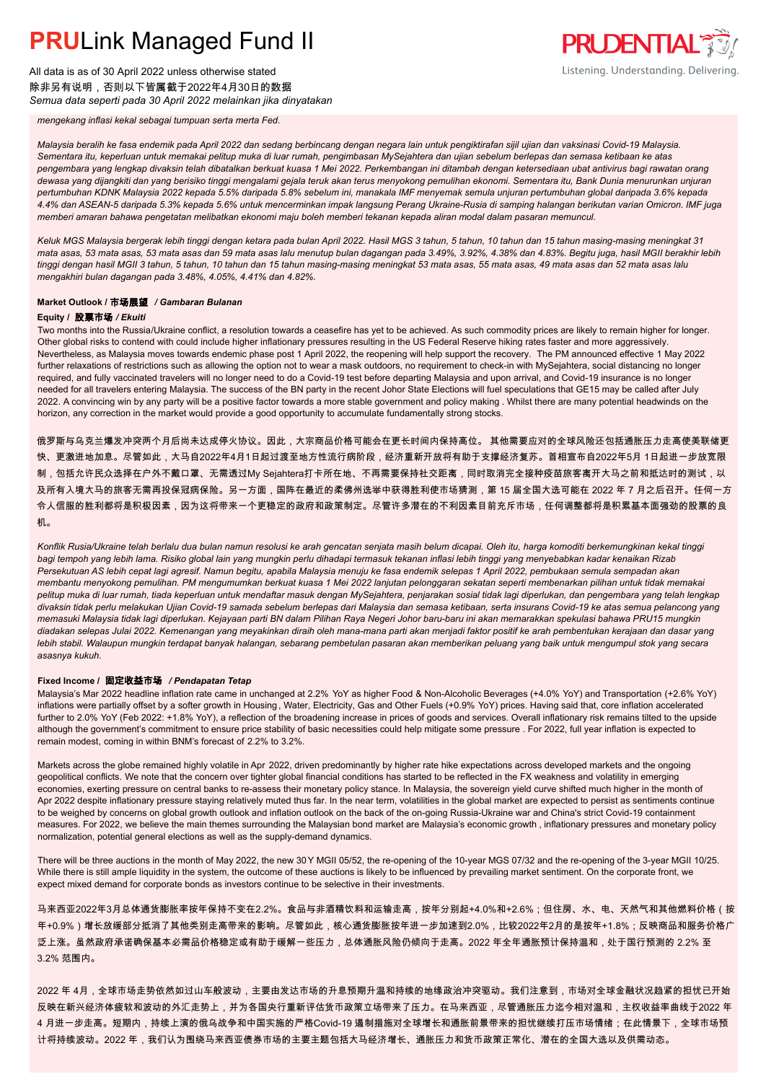All data is as of 30 April 2022 unless otherwise stated 除非另有说明,否则以下皆属截于2022年4月30日的数据 *Semua data seperti pada 30 April 2022 melainkan jika dinyatakan*



*mengekang inflasi kekal sebagai tumpuan serta merta Fed.*

*Malaysia beralih ke fasa endemik pada April 2022 dan sedang berbincang dengan negara lain untuk pengiktirafan sijil ujian dan vaksinasi Covid-19 Malaysia. Sementara itu, keperluan untuk memakai pelitup muka di luar rumah, pengimbasan MySejahtera dan ujian sebelum berlepas dan semasa ketibaan ke atas pengembara yang lengkap divaksin telah dibatalkan berkuat kuasa 1 Mei 2022. Perkembangan ini ditambah dengan ketersediaan ubat antivirus bagi rawatan orang dewasa yang dijangkiti dan yang berisiko tinggi mengalami gejala teruk akan terus menyokong pemulihan ekonomi. Sementara itu, Bank Dunia menurunkan unjuran pertumbuhan KDNK Malaysia 2022 kepada 5.5% daripada 5.8% sebelum ini, manakala IMF menyemak semula unjuran pertumbuhan global daripada 3.6% kepada 4.4% dan ASEAN-5 daripada 5.3% kepada 5.6% untuk mencerminkan impak langsung Perang Ukraine-Rusia di samping halangan berikutan varian Omicron. IMF juga memberi amaran bahawa pengetatan melibatkan ekonomi maju boleh memberi tekanan kepada aliran modal dalam pasaran memuncul.*

*Keluk MGS Malaysia bergerak lebih tinggi dengan ketara pada bulan April 2022. Hasil MGS 3 tahun, 5 tahun, 10 tahun dan 15 tahun masing-masing meningkat 31 mata asas, 53 mata asas, 53 mata asas dan 59 mata asas lalu menutup bulan dagangan pada 3.49%, 3.92%, 4.38% dan 4.83%. Begitu juga, hasil MGII berakhir lebih tinggi dengan hasil MGII 3 tahun, 5 tahun, 10 tahun dan 15 tahun masing-masing meningkat 53 mata asas, 55 mata asas, 49 mata asas dan 52 mata asas lalu mengakhiri bulan dagangan pada 3.48%, 4.05%, 4.41% dan 4.82%.*

#### **Market Outlook /** 市场展望 */ Gambaran Bulanan*

#### **Equity /** 股票市场 */ Ekuiti*

Two months into the Russia/Ukraine conflict, a resolution towards a ceasefire has yet to be achieved. As such commodity prices are likely to remain higher for longer. Other global risks to contend with could include higher inflationary pressures resulting in the US Federal Reserve hiking rates faster and more aggressively. Nevertheless, as Malaysia moves towards endemic phase post 1 April 2022, the reopening will help support the recovery. The PM announced effective 1 May 2022 further relaxations of restrictions such as allowing the option not to wear a mask outdoors, no requirement to check-in with MySejahtera, social distancing no longer required, and fully vaccinated travelers will no longer need to do a Covid-19 test before departing Malaysia and upon arrival, and Covid-19 insurance is no longer needed for all travelers entering Malaysia. The success of the BN party in the recent Johor State Elections will fuel speculations that GE15 may be called after July 2022. A convincing win by any party will be a positive factor towards a more stable government and policy making . Whilst there are many potential headwinds on the horizon, any correction in the market would provide a good opportunity to accumulate fundamentally strong stocks.

俄罗斯与乌克兰爆发冲突两个月后尚未达成停火协议。因此,大宗商品价格可能会在更长时间内保持高位。 其他需要应对的全球风险还包括通胀压力走高使美联储更 快、更激进地加息。尽管如此,大马自2022年4月1日起过渡至地方性流行病阶段,经济重新开放将有助于支撑经济复苏。首相宣布自2022年5月 1日起进一步放宽限 制,包括允许民众选择在户外不戴口罩、无需透过My Sejahtera打卡所在地、不再需要保持社交距离,同时取消完全接种疫苗旅客离开大马之前和抵达时的测试,以 及所有入境大马的旅客无需再投保冠病保险。另一方面,国阵在最近的柔佛州选举中获得胜利使市场猜测,第 15 届全国大选可能在 2022 年 7 月之后召开。任何一方 令人信服的胜利都将是积极因素,因为这将带来一个更稳定的政府和政策制定。尽管许多潜在的不利因素目前充斥市场,任何调整都将是积累基本面强劲的股票的良 机。

*Konflik Rusia/Ukraine telah berlalu dua bulan namun resolusi ke arah gencatan senjata masih belum dicapai. Oleh itu, harga komoditi berkemungkinan kekal tinggi bagi tempoh yang lebih lama. Risiko global lain yang mungkin perlu dihadapi termasuk tekanan inflasi lebih tinggi yang menyebabkan kadar kenaikan Rizab Persekutuan AS lebih cepat lagi agresif. Namun begitu, apabila Malaysia menuju ke fasa endemik selepas 1 April 2022, pembukaan semula sempadan akan membantu menyokong pemulihan. PM mengumumkan berkuat kuasa 1 Mei 2022 lanjutan pelonggaran sekatan seperti membenarkan pilihan untuk tidak memakai pelitup muka di luar rumah, tiada keperluan untuk mendaftar masuk dengan MySejahtera, penjarakan sosial tidak lagi diperlukan, dan pengembara yang telah lengkap divaksin tidak perlu melakukan Ujian Covid-19 samada sebelum berlepas dari Malaysia dan semasa ketibaan, serta insurans Covid-19 ke atas semua pelancong yang memasuki Malaysia tidak lagi diperlukan. Kejayaan parti BN dalam Pilihan Raya Negeri Johor baru-baru ini akan memarakkan spekulasi bahawa PRU15 mungkin diadakan selepas Julai 2022. Kemenangan yang meyakinkan diraih oleh mana-mana parti akan menjadi faktor positif ke arah pembentukan kerajaan dan dasar yang lebih stabil. Walaupun mungkin terdapat banyak halangan, sebarang pembetulan pasaran akan memberikan peluang yang baik untuk mengumpul stok yang secara asasnya kukuh.*

#### **Fixed Income /** 固定收益市场 */ Pendapatan Tetap*

*.* Malaysia's Mar 2022 headline inflation rate came in unchanged at 2.2% YoY as higher Food & Non-Alcoholic Beverages (+4.0% YoY) and Transportation (+2.6% YoY) inflations were partially offset by a softer growth in Housing, Water, Electricity, Gas and Other Fuels (+0.9% YoY) prices. Having said that, core inflation accelerated further to 2.0% YoY (Feb 2022: +1.8% YoY), a reflection of the broadening increase in prices of goods and services. Overall inflationary risk remains tilted to the upside although the government's commitment to ensure price stability of basic necessities could help mitigate some pressure . For 2022, full year inflation is expected to remain modest, coming in within BNM's forecast of 2.2% to 3.2%.

Markets across the globe remained highly volatile in Apr 2022, driven predominantly by higher rate hike expectations across developed markets and the ongoing geopolitical conflicts. We note that the concern over tighter global financial conditions has started to be reflected in the FX weakness and volatility in emerging economies, exerting pressure on central banks to re-assess their monetary policy stance. In Malaysia, the sovereign yield curve shifted much higher in the month of Apr 2022 despite inflationary pressure staying relatively muted thus far. In the near term, volatilities in the global market are expected to persist as sentiments continue to be weighed by concerns on global growth outlook and inflation outlook on the back of the on-going Russia-Ukraine war and China's strict Covid-19 containment measures. For 2022, we believe the main themes surrounding the Malaysian bond market are Malaysia's economic growth , inflationary pressures and monetary policy normalization, potential general elections as well as the supply-demand dynamics.

There will be three auctions in the month of May 2022, the new 30Y MGII 05/52, the re-opening of the 10-year MGS 07/32 and the re-opening of the 3-year MGII 10/25. While there is still ample liquidity in the system, the outcome of these auctions is likely to be influenced by prevailing market sentiment. On the corporate front, we expect mixed demand for corporate bonds as investors continue to be selective in their investments.

马来西亚2022年3月总体通货膨胀率按年保持不变在2.2%。食品与非酒精饮料和运输走高,按年分别起+4.0%和+2.6%;但住房、水、电、天然气和其他燃料价格(按 年+0.9%)增长放缓部分抵消了其他类别走高带来的影响。尽管如此,核心通货膨胀按年进一步加速到2.0%,比较2022年2月的是按年+1.8%;反映商品和服务价格广 泛上涨。虽然政府承诺确保基本必需品价格稳定或有助于缓解一些压力,总体通胀风险仍倾向于走高。2022 年全年通胀预计保持温和,处于国行预测的 2.2% 至 3.2% 范围内。

2022 年 4月,全球市场走势依然如过山车般波动,主要由发达市场的升息预期升温和持续的地缘政治冲突驱动。我们注意到,市场对全球金融状况趋紧的担忧已开始 反映在新兴经济体疲软和波动的外汇走势上,并为各国央行重新评估货币政策立场带来了压力。在马来西亚,尽管通胀压力迄今相对温和,主权收益率曲线于2022 年 4 月进一步走高。短期内,持续上演的俄乌战争和中国实施的严格Covid-19 遏制措施对全球增长和通胀前景带来的担忧继续打压市场情绪;在此情景下,全球市场预 计将持续波动。2022 年,我们认为围绕马来西亚债券市场的主要主题包括大马经济增长、通胀压力和货币政策正常化、潜在的全国大选以及供需动态。